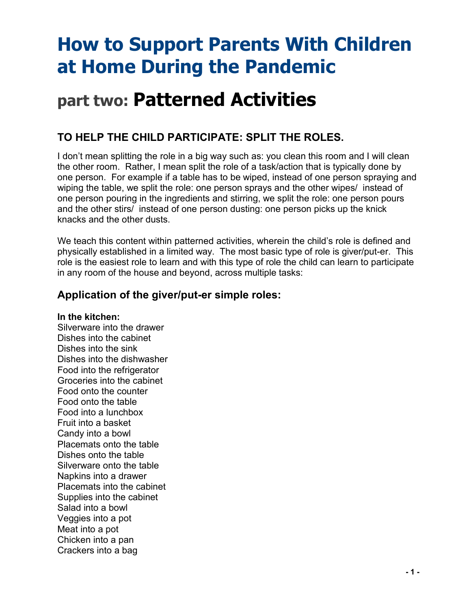# **How to Support Parents With Children at Home During the Pandemic**

## **part two: Patterned Activities**

### **TO HELP THE CHILD PARTICIPATE: SPLIT THE ROLES.**

I don't mean splitting the role in a big way such as: you clean this room and I will clean the other room. Rather, I mean split the role of a task/action that is typically done by one person. For example if a table has to be wiped, instead of one person spraying and wiping the table, we split the role: one person sprays and the other wipes/ instead of one person pouring in the ingredients and stirring, we split the role: one person pours and the other stirs/ instead of one person dusting: one person picks up the knick knacks and the other dusts.

We teach this content within patterned activities, wherein the child's role is defined and physically established in a limited way. The most basic type of role is giver/put-er. This role is the easiest role to learn and with this type of role the child can learn to participate in any room of the house and beyond, across multiple tasks:

### **Application of the giver/put-er simple roles:**

#### **In the kitchen:**

Silverware into the drawer Dishes into the cabinet Dishes into the sink Dishes into the dishwasher Food into the refrigerator Groceries into the cabinet Food onto the counter Food onto the table Food into a lunchbox Fruit into a basket Candy into a bowl Placemats onto the table Dishes onto the table Silverware onto the table Napkins into a drawer Placemats into the cabinet Supplies into the cabinet Salad into a bowl Veggies into a pot Meat into a pot Chicken into a pan Crackers into a bag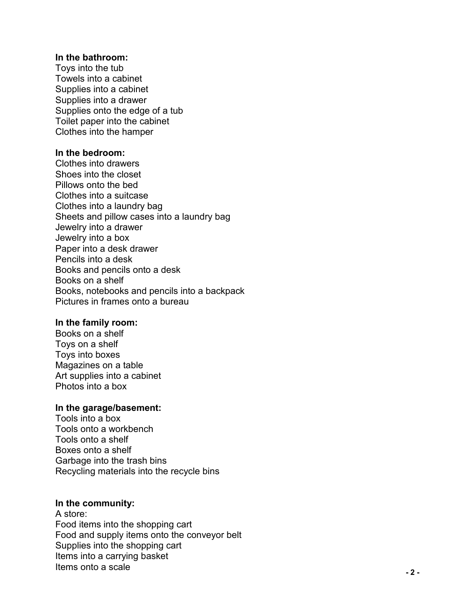#### **In the bathroom:**

Toys into the tub Towels into a cabinet Supplies into a cabinet Supplies into a drawer Supplies onto the edge of a tub Toilet paper into the cabinet Clothes into the hamper

#### **In the bedroom:**

Clothes into drawers Shoes into the closet Pillows onto the bed Clothes into a suitcase Clothes into a laundry bag Sheets and pillow cases into a laundry bag Jewelry into a drawer Jewelry into a box Paper into a desk drawer Pencils into a desk Books and pencils onto a desk Books on a shelf Books, notebooks and pencils into a backpack Pictures in frames onto a bureau

#### **In the family room:**

Books on a shelf Toys on a shelf Toys into boxes Magazines on a table Art supplies into a cabinet Photos into a box

#### **In the garage/basement:**

Tools into a box Tools onto a workbench Tools onto a shelf Boxes onto a shelf Garbage into the trash bins Recycling materials into the recycle bins

#### **In the community:**

A store: Food items into the shopping cart Food and supply items onto the conveyor belt Supplies into the shopping cart Items into a carrying basket Items onto a scale **- 2 -**